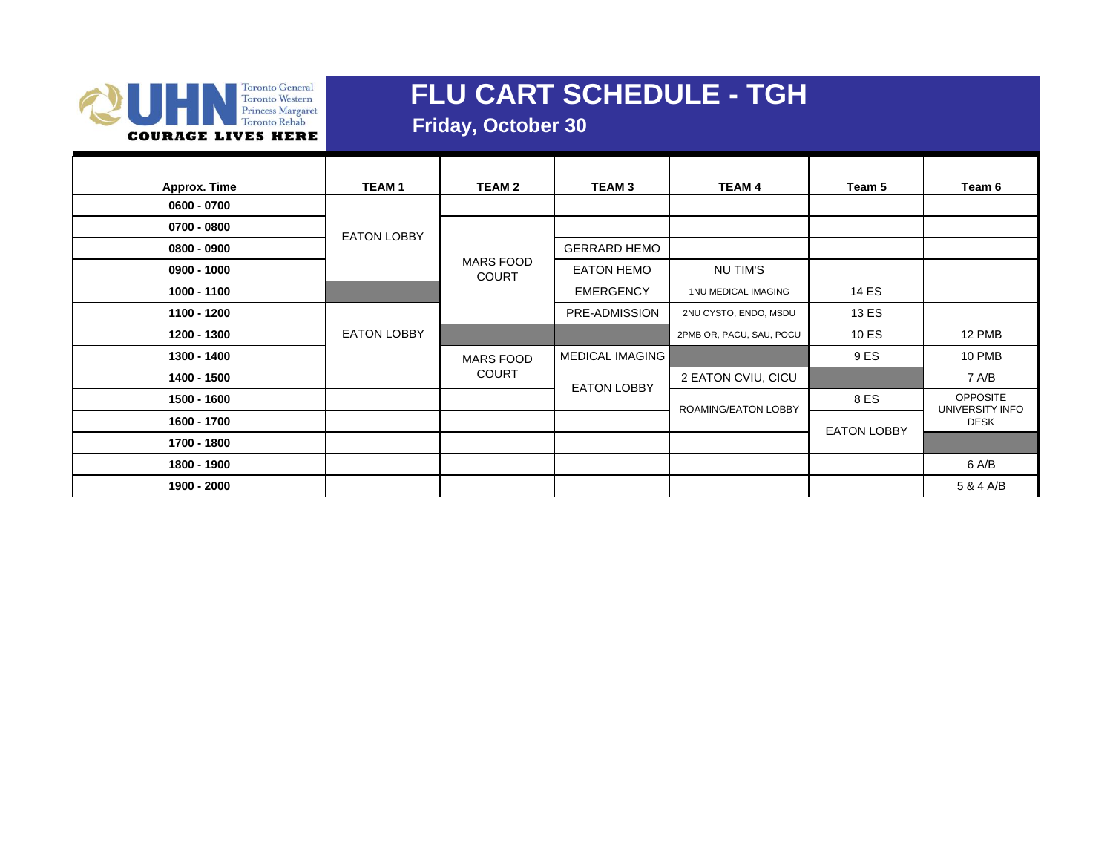

 **Friday, October 30**

| <b>Approx. Time</b> | <b>TEAM1</b>       | <b>TEAM 2</b>                    | <b>TEAM3</b>           | <b>TEAM 4</b>            | Team 5                             | Team 6      |
|---------------------|--------------------|----------------------------------|------------------------|--------------------------|------------------------------------|-------------|
| 0600 - 0700         |                    |                                  |                        |                          |                                    |             |
| $0700 - 0800$       | <b>EATON LOBBY</b> |                                  |                        |                          |                                    |             |
| $0800 - 0900$       |                    |                                  | <b>GERRARD HEMO</b>    |                          |                                    |             |
| $0900 - 1000$       |                    | <b>MARS FOOD</b><br><b>COURT</b> | <b>EATON HEMO</b>      | NU TIM'S                 |                                    |             |
| 1000 - 1100         |                    |                                  | <b>EMERGENCY</b>       | 1NU MEDICAL IMAGING      | 14 ES                              |             |
| 1100 - 1200         |                    |                                  | PRE-ADMISSION          | 2NU CYSTO, ENDO, MSDU    | 13 ES                              |             |
| 1200 - 1300         | <b>EATON LOBBY</b> |                                  |                        | 2PMB OR, PACU, SAU, POCU | 10 ES                              | 12 PMB      |
| 1300 - 1400         |                    | <b>MARS FOOD</b>                 | <b>MEDICAL IMAGING</b> |                          | 9 ES                               | 10 PMB      |
| 1400 - 1500         |                    | <b>COURT</b>                     | <b>EATON LOBBY</b>     | 2 EATON CVIU, CICU       |                                    | 7 A/B       |
| 1500 - 1600         |                    |                                  | ROAMING/EATON LOBBY    | 8 ES                     | <b>OPPOSITE</b><br>UNIVERSITY INFO |             |
| 1600 - 1700         |                    |                                  |                        |                          | <b>EATON LOBBY</b>                 | <b>DESK</b> |
| 1700 - 1800         |                    |                                  |                        |                          |                                    |             |
| 1800 - 1900         |                    |                                  |                        |                          |                                    | 6 A/B       |
| 1900 - 2000         |                    |                                  |                        |                          |                                    | 5 & 4 A/B   |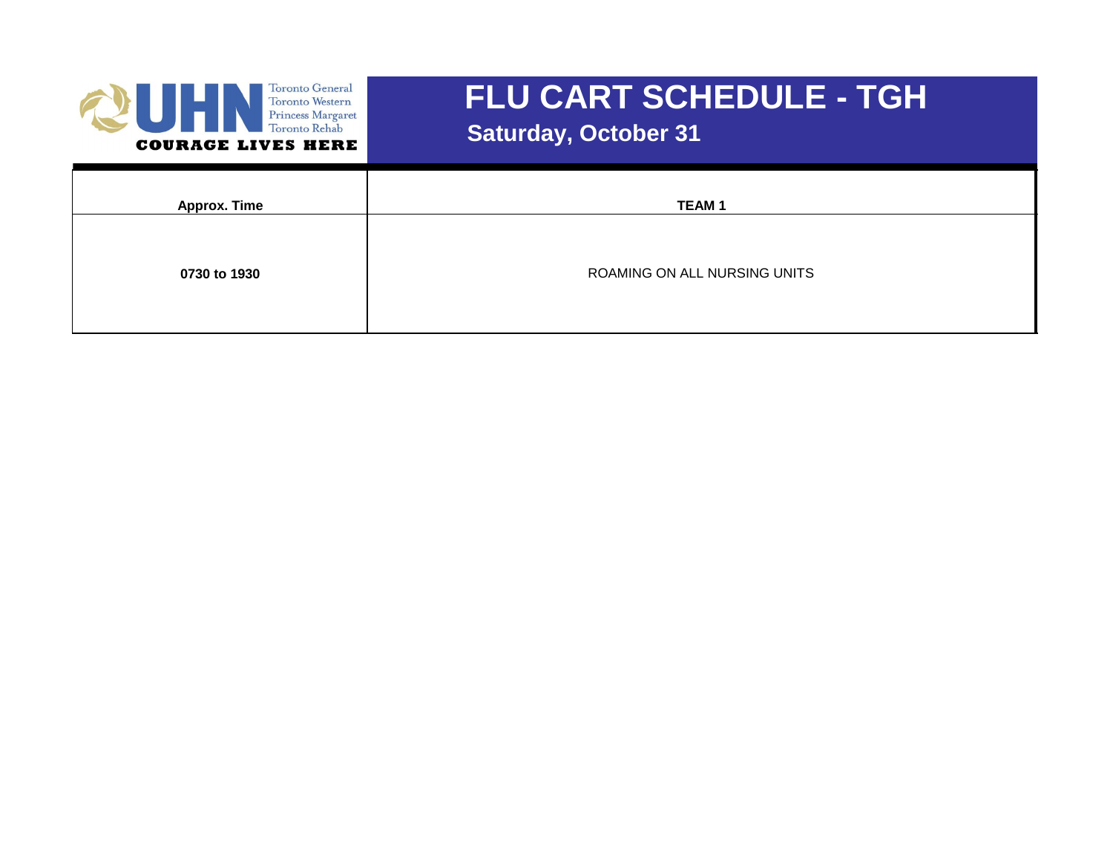

 **Saturday, October 31**

| <b>Approx. Time</b> | <b>TEAM1</b>                 |
|---------------------|------------------------------|
|                     |                              |
| 0730 to 1930        | ROAMING ON ALL NURSING UNITS |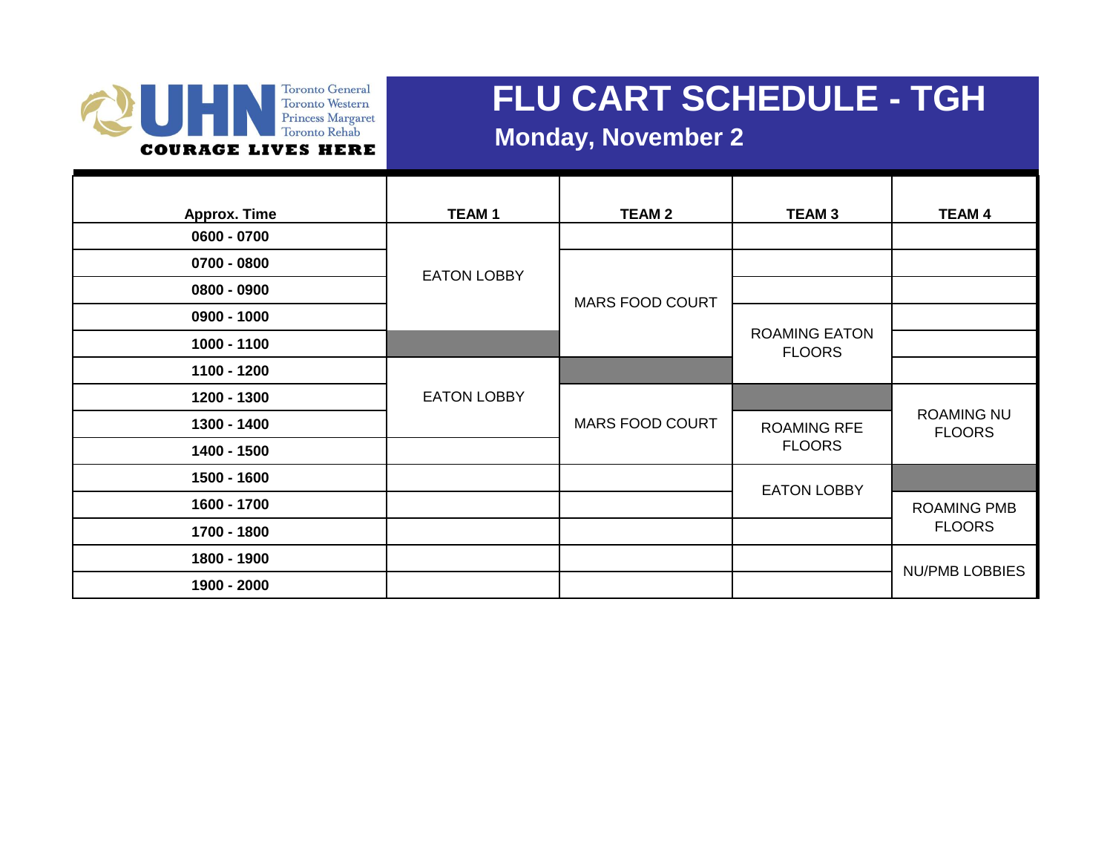#### Toronto General Toronto Vestern<br>Princess Margaret<br>Toronto Rehab **COURAGE LIVES HERE**

### **FLU CART SCHEDULE - TGH**

### **Monday, November 2**

| <b>Approx. Time</b> | <b>TEAM1</b>       | <b>TEAM 2</b>          | <b>TEAM3</b>                          | <b>TEAM 4</b>                      |
|---------------------|--------------------|------------------------|---------------------------------------|------------------------------------|
| $0600 - 0700$       |                    |                        |                                       |                                    |
| 0700 - 0800         | <b>EATON LOBBY</b> | <b>MARS FOOD COURT</b> |                                       |                                    |
| $0800 - 0900$       |                    |                        |                                       |                                    |
| $0900 - 1000$       |                    |                        |                                       |                                    |
| 1000 - 1100         |                    |                        | <b>ROAMING EATON</b><br><b>FLOORS</b> |                                    |
| 1100 - 1200         |                    |                        |                                       |                                    |
| 1200 - 1300         | <b>EATON LOBBY</b> |                        |                                       |                                    |
| 1300 - 1400         |                    | <b>MARS FOOD COURT</b> | <b>ROAMING RFE</b><br><b>FLOORS</b>   | <b>ROAMING NU</b><br><b>FLOORS</b> |
| 1400 - 1500         |                    |                        |                                       |                                    |
| 1500 - 1600         |                    |                        | <b>EATON LOBBY</b>                    |                                    |
| 1600 - 1700         |                    |                        |                                       | <b>ROAMING PMB</b>                 |
| 1700 - 1800         |                    |                        |                                       | <b>FLOORS</b>                      |
| 1800 - 1900         |                    |                        |                                       | <b>NU/PMB LOBBIES</b>              |
| 1900 - 2000         |                    |                        |                                       |                                    |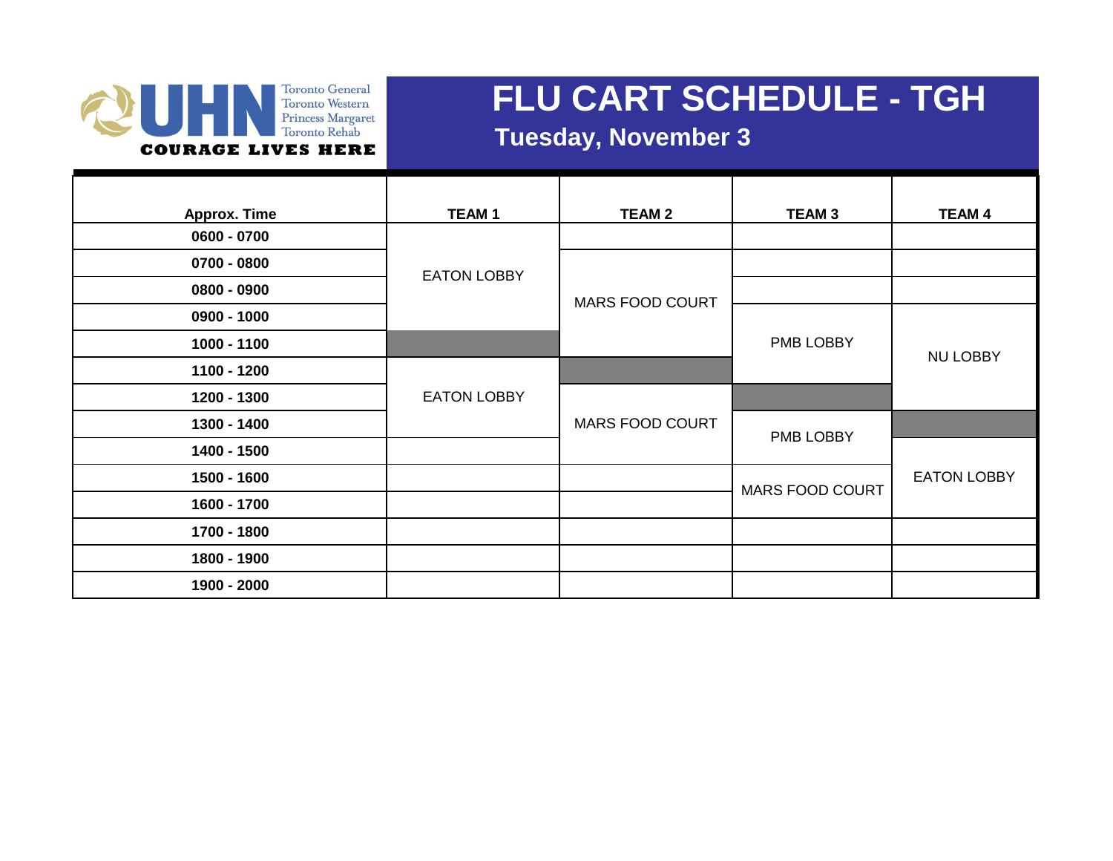#### Toronto General Toronto Western<br>Princess Margaret Toronto Rehab **COURAGE LIVES HERE**

### **FLU CART SCHEDULE - TGH**

#### **Tuesday, November 3**

| Approx. Time  | <b>TEAM1</b>       | <b>TEAM 2</b>          | <b>TEAM 3</b>          | <b>TEAM 4</b>      |
|---------------|--------------------|------------------------|------------------------|--------------------|
| 0600 - 0700   |                    |                        |                        |                    |
| 0700 - 0800   | <b>EATON LOBBY</b> | <b>MARS FOOD COURT</b> |                        |                    |
| $0800 - 0900$ |                    |                        |                        |                    |
| 0900 - 1000   |                    |                        |                        |                    |
| 1000 - 1100   |                    |                        | PMB LOBBY              | <b>NU LOBBY</b>    |
| 1100 - 1200   |                    |                        |                        |                    |
| 1200 - 1300   | <b>EATON LOBBY</b> |                        |                        |                    |
| 1300 - 1400   |                    | MARS FOOD COURT        | PMB LOBBY              |                    |
| 1400 - 1500   |                    |                        |                        |                    |
| 1500 - 1600   |                    |                        | <b>MARS FOOD COURT</b> | <b>EATON LOBBY</b> |
| 1600 - 1700   |                    |                        |                        |                    |
| 1700 - 1800   |                    |                        |                        |                    |
| 1800 - 1900   |                    |                        |                        |                    |
| 1900 - 2000   |                    |                        |                        |                    |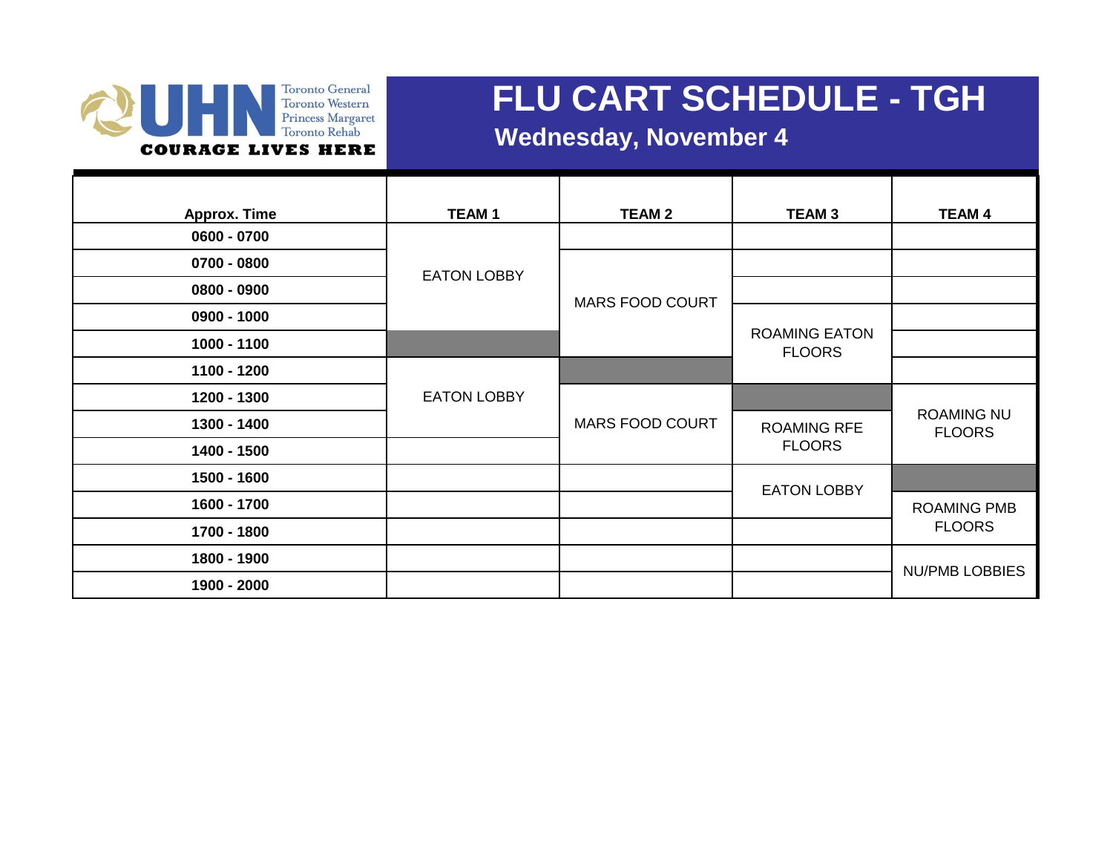#### Toronto General Toronto Western Princess Margaret Toronto Rehab **COURAGE LIVES HERE**

### **FLU CART SCHEDULE - TGH**

#### **Wednesday, November 4**

| <b>Approx. Time</b> | <b>TEAM1</b>       | <b>TEAM 2</b>          | <b>TEAM 3</b>                         | <b>TEAM 4</b>                      |
|---------------------|--------------------|------------------------|---------------------------------------|------------------------------------|
| $0600 - 0700$       |                    |                        |                                       |                                    |
| 0700 - 0800         | <b>EATON LOBBY</b> | <b>MARS FOOD COURT</b> |                                       |                                    |
| $0800 - 0900$       |                    |                        |                                       |                                    |
| 0900 - 1000         |                    |                        |                                       |                                    |
| 1000 - 1100         |                    |                        | <b>ROAMING EATON</b><br><b>FLOORS</b> |                                    |
| 1100 - 1200         |                    |                        |                                       |                                    |
| 1200 - 1300         | <b>EATON LOBBY</b> |                        |                                       |                                    |
| 1300 - 1400         |                    | <b>MARS FOOD COURT</b> | <b>ROAMING RFE</b><br><b>FLOORS</b>   | <b>ROAMING NU</b><br><b>FLOORS</b> |
| 1400 - 1500         |                    |                        |                                       |                                    |
| 1500 - 1600         |                    |                        | <b>EATON LOBBY</b>                    |                                    |
| 1600 - 1700         |                    |                        |                                       | <b>ROAMING PMB</b>                 |
| 1700 - 1800         |                    |                        |                                       | <b>FLOORS</b>                      |
| 1800 - 1900         |                    |                        |                                       | <b>NU/PMB LOBBIES</b>              |
| 1900 - 2000         |                    |                        |                                       |                                    |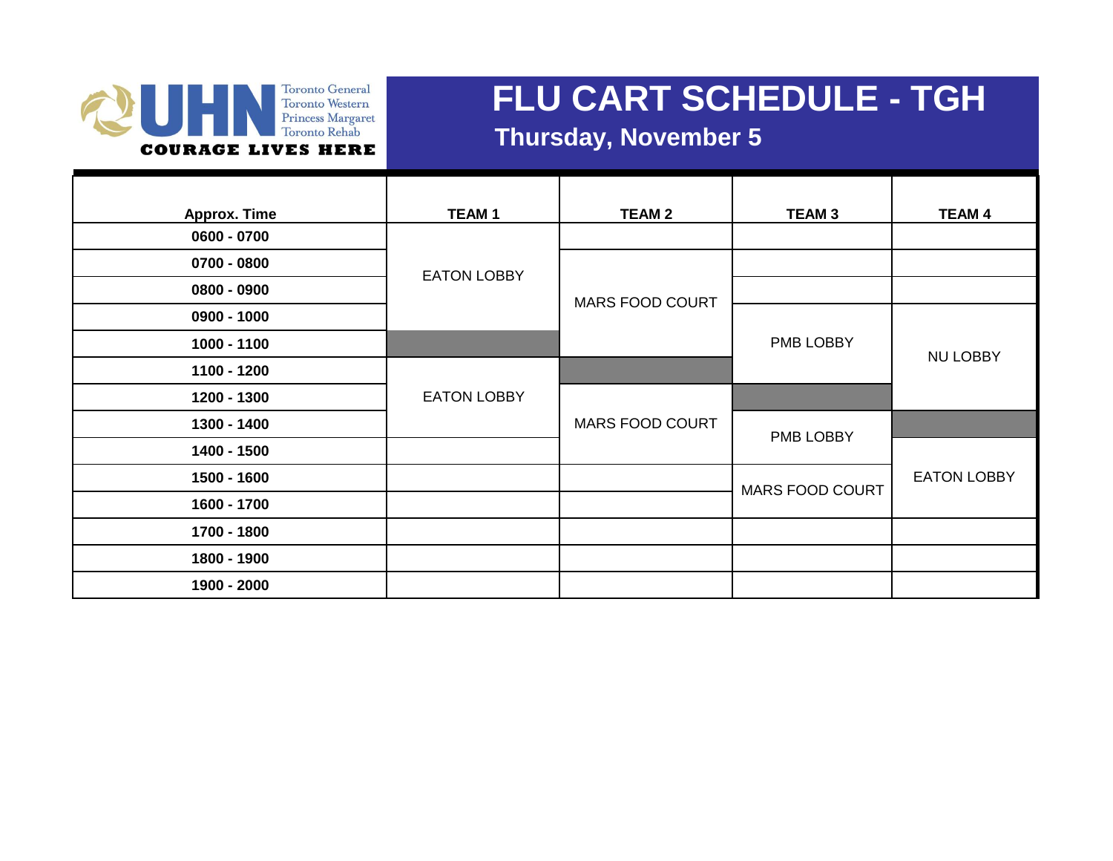#### Toronto General Toronto Vestern<br>Princess Margaret<br>Toronto Rehab **COURAGE LIVES HERE**

## **FLU CART SCHEDULE - TGH**

#### **Thursday, November 5**

| <b>Approx. Time</b> | <b>TEAM1</b>       | <b>TEAM 2</b>          | <b>TEAM 3</b>          | <b>TEAM 4</b>      |
|---------------------|--------------------|------------------------|------------------------|--------------------|
| 0600 - 0700         |                    |                        |                        |                    |
| 0700 - 0800         | <b>EATON LOBBY</b> | <b>MARS FOOD COURT</b> |                        |                    |
| 0800 - 0900         |                    |                        |                        |                    |
| 0900 - 1000         |                    |                        |                        |                    |
| 1000 - 1100         |                    |                        | PMB LOBBY              | <b>NU LOBBY</b>    |
| 1100 - 1200         |                    |                        |                        |                    |
| 1200 - 1300         | <b>EATON LOBBY</b> |                        |                        |                    |
| 1300 - 1400         |                    | <b>MARS FOOD COURT</b> | PMB LOBBY              |                    |
| 1400 - 1500         |                    |                        |                        |                    |
| 1500 - 1600         |                    |                        | <b>MARS FOOD COURT</b> | <b>EATON LOBBY</b> |
| 1600 - 1700         |                    |                        |                        |                    |
| 1700 - 1800         |                    |                        |                        |                    |
| 1800 - 1900         |                    |                        |                        |                    |
| 1900 - 2000         |                    |                        |                        |                    |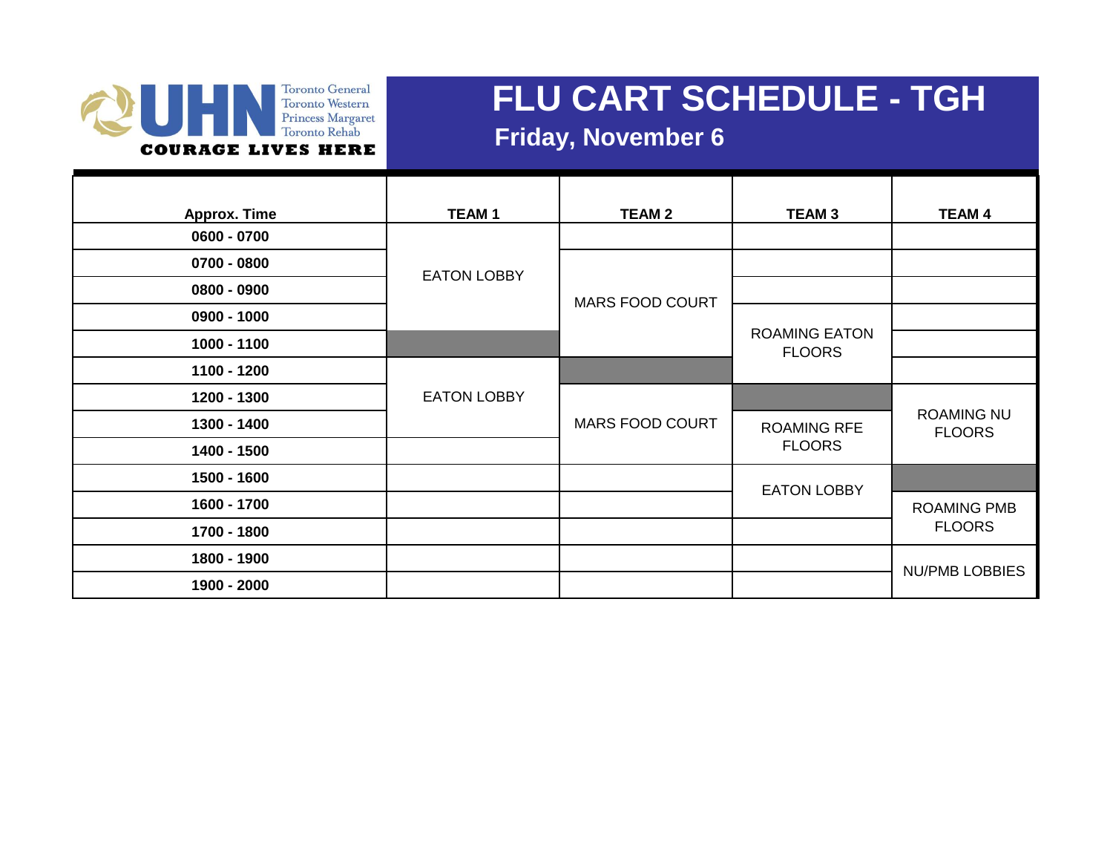#### **Toronto General** Toronto Vestern<br>Princess Margaret<br>Toronto Rehab **COURAGE LIVES HERE**

## **FLU CART SCHEDULE - TGH**

### **Friday, November 6**

| <b>Approx. Time</b> | <b>TEAM1</b>       | <b>TEAM 2</b>          | <b>TEAM3</b>                          | <b>TEAM 4</b>                      |
|---------------------|--------------------|------------------------|---------------------------------------|------------------------------------|
| $0600 - 0700$       |                    |                        |                                       |                                    |
| 0700 - 0800         |                    | <b>MARS FOOD COURT</b> |                                       |                                    |
| $0800 - 0900$       | <b>EATON LOBBY</b> |                        |                                       |                                    |
| $0900 - 1000$       |                    |                        |                                       |                                    |
| 1000 - 1100         |                    |                        | <b>ROAMING EATON</b><br><b>FLOORS</b> |                                    |
| 1100 - 1200         |                    |                        |                                       |                                    |
| 1200 - 1300         | <b>EATON LOBBY</b> |                        |                                       |                                    |
| 1300 - 1400         |                    | <b>MARS FOOD COURT</b> | <b>ROAMING RFE</b><br><b>FLOORS</b>   | <b>ROAMING NU</b><br><b>FLOORS</b> |
| 1400 - 1500         |                    |                        |                                       |                                    |
| 1500 - 1600         |                    |                        | <b>EATON LOBBY</b>                    |                                    |
| 1600 - 1700         |                    |                        |                                       | <b>ROAMING PMB</b>                 |
| 1700 - 1800         |                    |                        |                                       | <b>FLOORS</b>                      |
| 1800 - 1900         |                    |                        |                                       | <b>NU/PMB LOBBIES</b>              |
| 1900 - 2000         |                    |                        |                                       |                                    |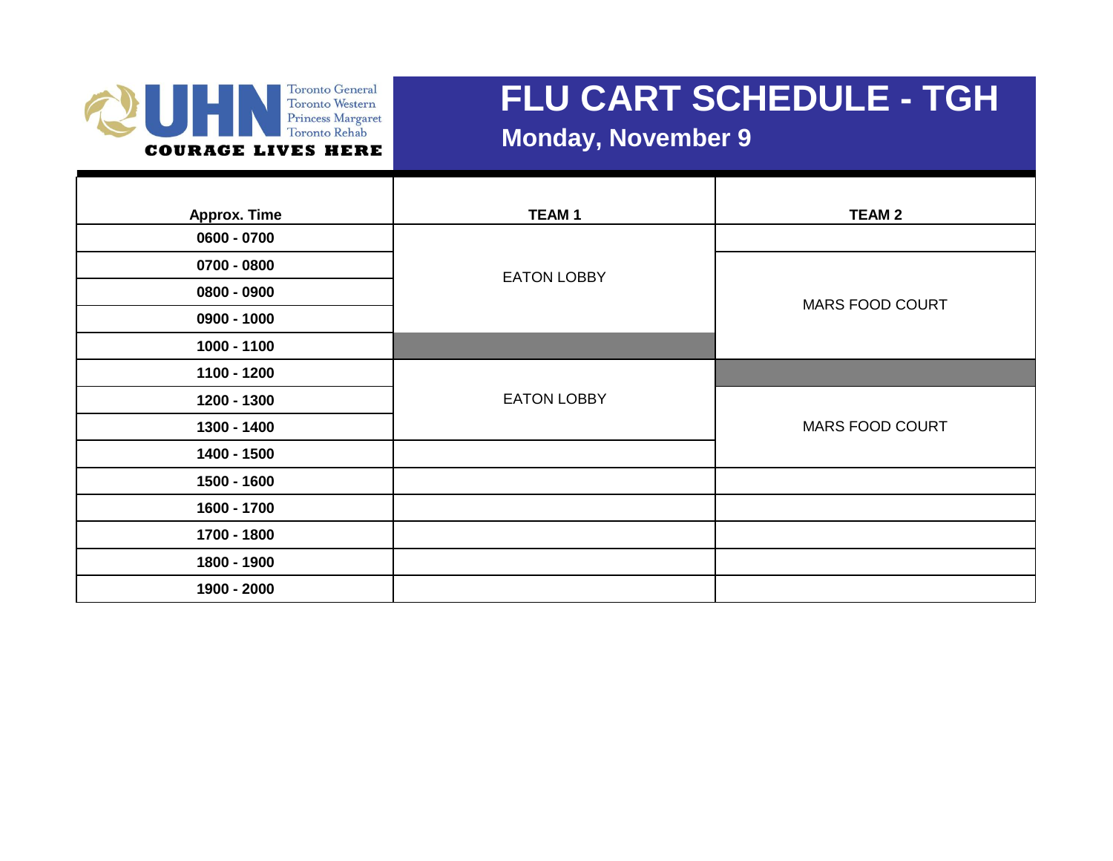

#### **Monday, November 9**

| <b>Approx. Time</b> | <b>TEAM1</b>       | <b>TEAM 2</b>          |
|---------------------|--------------------|------------------------|
| 0600 - 0700         |                    |                        |
| 0700 - 0800         | <b>EATON LOBBY</b> |                        |
| 0800 - 0900         |                    | <b>MARS FOOD COURT</b> |
| 0900 - 1000         |                    |                        |
| 1000 - 1100         |                    |                        |
| 1100 - 1200         |                    |                        |
| 1200 - 1300         | <b>EATON LOBBY</b> |                        |
| 1300 - 1400         |                    | <b>MARS FOOD COURT</b> |
| 1400 - 1500         |                    |                        |
| 1500 - 1600         |                    |                        |
| 1600 - 1700         |                    |                        |
| 1700 - 1800         |                    |                        |
| 1800 - 1900         |                    |                        |
| 1900 - 2000         |                    |                        |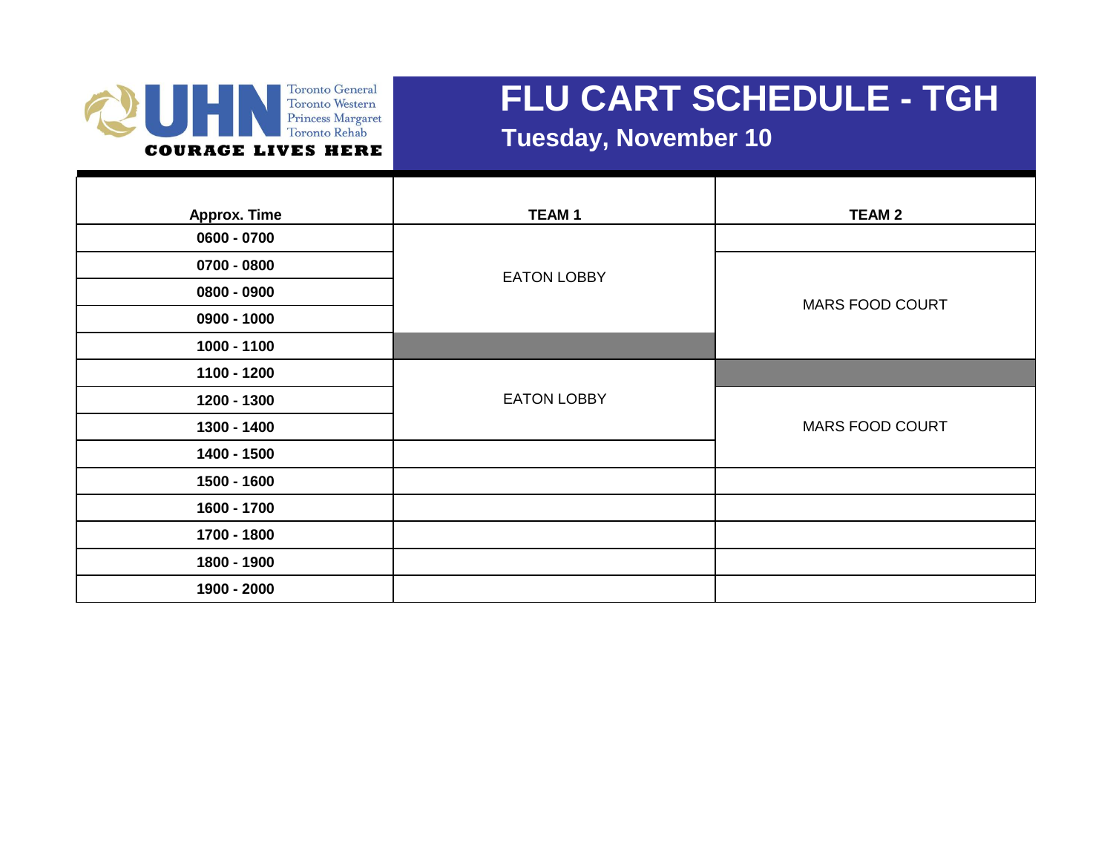

 **Tuesday, November 10**

| <b>Approx. Time</b> | <b>TEAM1</b>       | <b>TEAM 2</b>          |
|---------------------|--------------------|------------------------|
| 0600 - 0700         |                    |                        |
| 0700 - 0800         | <b>EATON LOBBY</b> |                        |
| 0800 - 0900         |                    | <b>MARS FOOD COURT</b> |
| 0900 - 1000         |                    |                        |
| 1000 - 1100         |                    |                        |
| 1100 - 1200         |                    |                        |
| 1200 - 1300         | <b>EATON LOBBY</b> |                        |
| 1300 - 1400         |                    | <b>MARS FOOD COURT</b> |
| 1400 - 1500         |                    |                        |
| 1500 - 1600         |                    |                        |
| 1600 - 1700         |                    |                        |
| 1700 - 1800         |                    |                        |
| 1800 - 1900         |                    |                        |
| 1900 - 2000         |                    |                        |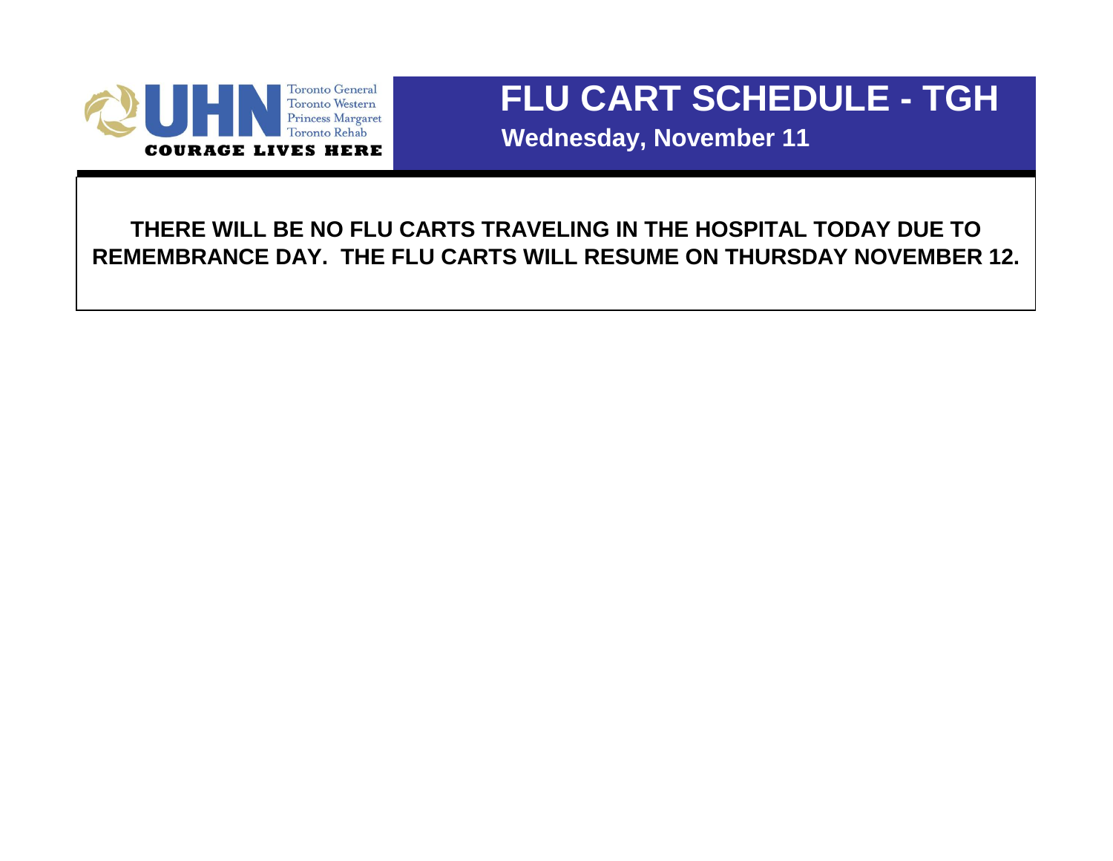

 **Wednesday, November 11**

**THERE WILL BE NO FLU CARTS TRAVELING IN THE HOSPITAL TODAY DUE TO REMEMBRANCE DAY. THE FLU CARTS WILL RESUME ON THURSDAY NOVEMBER 12.**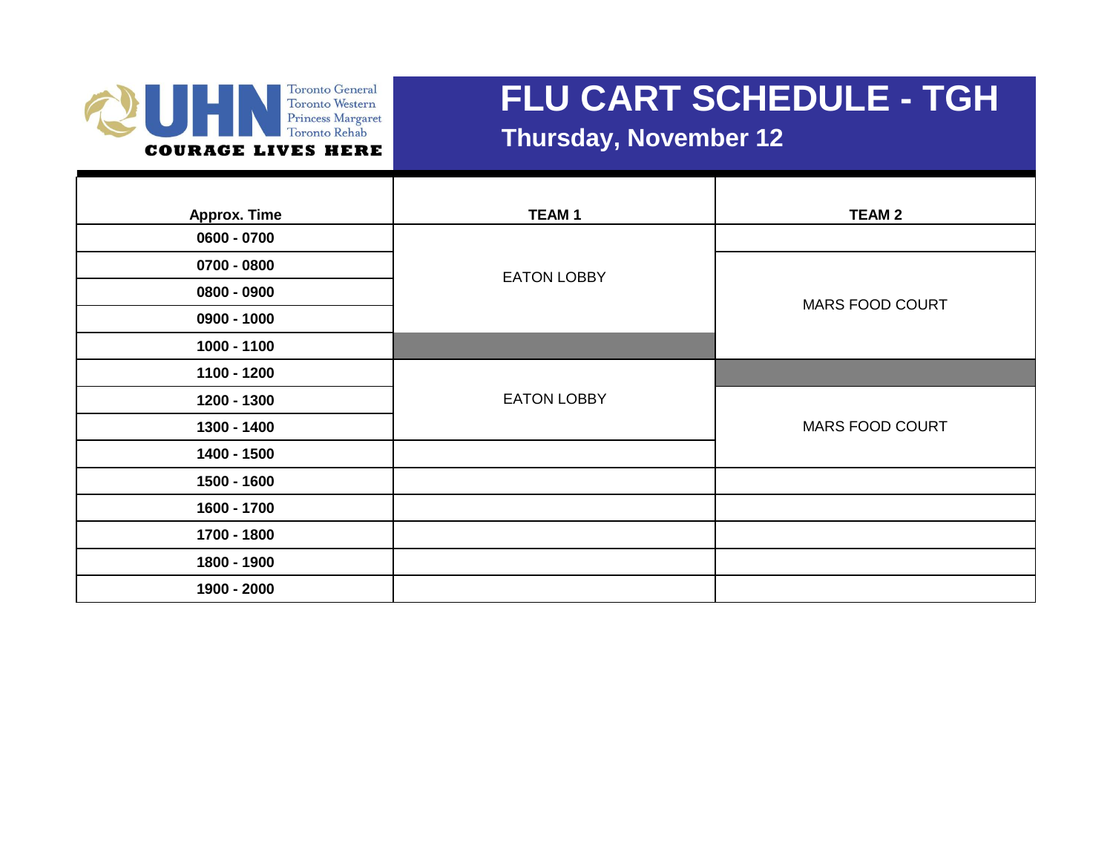

 **Thursday, November 12**

| <b>Approx. Time</b> | <b>TEAM1</b>       | <b>TEAM 2</b>          |
|---------------------|--------------------|------------------------|
| 0600 - 0700         |                    |                        |
| 0700 - 0800         | <b>EATON LOBBY</b> |                        |
| 0800 - 0900         |                    | <b>MARS FOOD COURT</b> |
| 0900 - 1000         |                    |                        |
| 1000 - 1100         |                    |                        |
| 1100 - 1200         |                    |                        |
| 1200 - 1300         | <b>EATON LOBBY</b> |                        |
| 1300 - 1400         |                    | <b>MARS FOOD COURT</b> |
| 1400 - 1500         |                    |                        |
| 1500 - 1600         |                    |                        |
| 1600 - 1700         |                    |                        |
| 1700 - 1800         |                    |                        |
| 1800 - 1900         |                    |                        |
| 1900 - 2000         |                    |                        |